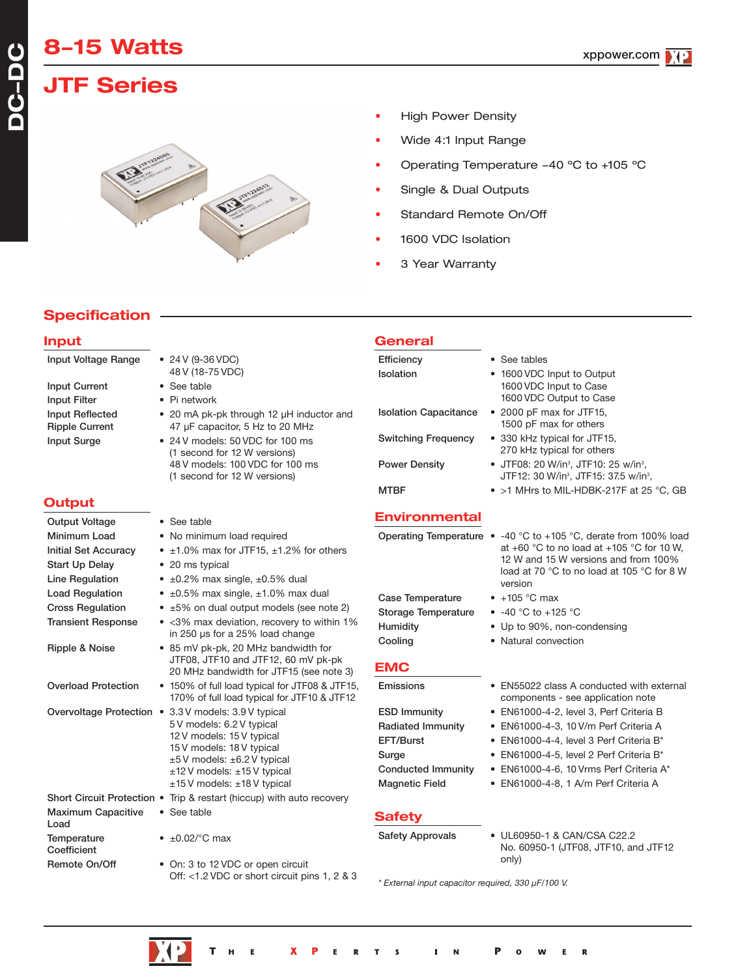# **8-15 Watts**

# **JTF Series**



- **High Power Density**
- Wide 4:1 Input Range
- Operating Temperature -40 ºC to +105 ºC
- Single & Dual Outputs
- Standard Remote On/Off
- 1600 VDC Isolation
- 3 Year Warranty

## **Specification**

### **Input** Input Voltage Range • 24 V (9-36 VDC) 48 V (18-75 VDC) Input Current • See table Input Filter • Pi network Input Reflected • 20 mA pk-pk through 12 µH inductor and Ripple Current 47 µF capacitor, 5 Hz to 20 MHz Input Surge • 24 V models: 50 VDC for 100 ms (1 second for 12 W versions) 48 V models: 100 VDC for 100 ms (1 second for 12 W versions) **Output** Output Voltage • See table Minimum Load • No minimum load required Initial Set Accuracy  $\bullet$  ±1.0% max for JTF15, ±1.2% for others Start Up Delay • 20 ms typical Line Regulation •  $\pm 0.2\%$  max single,  $\pm 0.5\%$  dual Load Regulation  $\bullet$  ±0.5% max single, ±1.0% max dual Cross Regulation • ±5% on dual output models (see note 2) Transient Response • <3% max deviation, recovery to within 1% in 250 µs for a 25% load change Ripple & Noise • 85 mV pk-pk, 20 MHz bandwidth for JTF08, JTF10 and JTF12, 60 mV pk-pk 20 MHz bandwidth for JTF15 (see note 3) Overload Protection • 150% of full load typical for JTF08 & JTF15, 170% of full load typical for JTF10 & JTF12 Overvoltage Protection • 3.3 V models: 3.9 V typical 5 V models: 6.2 V typical 12 V models: 15 V typical 15 V models: 18 V typical ±5 V models: ±6.2 V typical ±12 V models: ±15 V typical ±15 V models: ±18 V typical Short Circuit Protection • Trip & restart (hiccup) with auto recovery Maximum Capacitive • See table Load Temperature  $\bullet$   $\pm 0.02$ /°C max Coefficient Remote On/Off • On: 3 to 12 VDC or open circuit Off: <1.2 VDC or short circuit pins 1, 2 & 3 **General** Efficiency • See tables Isolation • 1600 VDC Input to Output 1600 VDC Input to Case 1600 VDC Output to Case Isolation Capacitance • 2000 pF max for JTF15, 1500 pF max for others Switching Frequency • 330 kHz typical for JTF15, 270 kHz typical for others Power Density • JTF08: 20 W/in<sup>3</sup>, JTF10: 25 w/in<sup>3</sup>, JTF12: 30 W/in<sup>3</sup>, JTF15: 37.5 w/in<sup>3</sup>, MTBF • >1 MHrs to MIL-HDBK-217F at 25 °C, GB **Environmental** Operating Temperature • -40 °C to +105 °C, derate from 100% load at +60 °C to no load at +105 °C for 10 W, 12 W and 15 W versions and from 100% load at 70 °C to no load at 105 °C for 8 W version Case Temperature • +105 °C max Storage Temperature • -40 °C to +125 °C Humidity • Up to 90%, non-condensing Cooling • Natural convection **EMC** Emissions • EN55022 class A conducted with external components - see application note ESD Immunity • EN61000-4-2, level 3, Perf Criteria B Radiated Immunity • EN61000-4-3, 10 V/m Perf Criteria A EFT/Burst • EN61000-4-4, level 3 Perf Criteria B\* Surge • EN61000-4-5, level 2 Perf Criteria B\* Conducted Immunity • EN61000-4-6, 10 Vrms Perf Criteria A\* Magnetic Field • EN61000-4-8, 1 A/m Perf Criteria A **Safety** Safety Approvals • UL60950-1 & CAN/CSA C22.2 No. 60950-1 (JTF08, JTF10, and JTF12 only)

*\* External input capacitor required, 330 µF/100 V.*

**DC-DC**